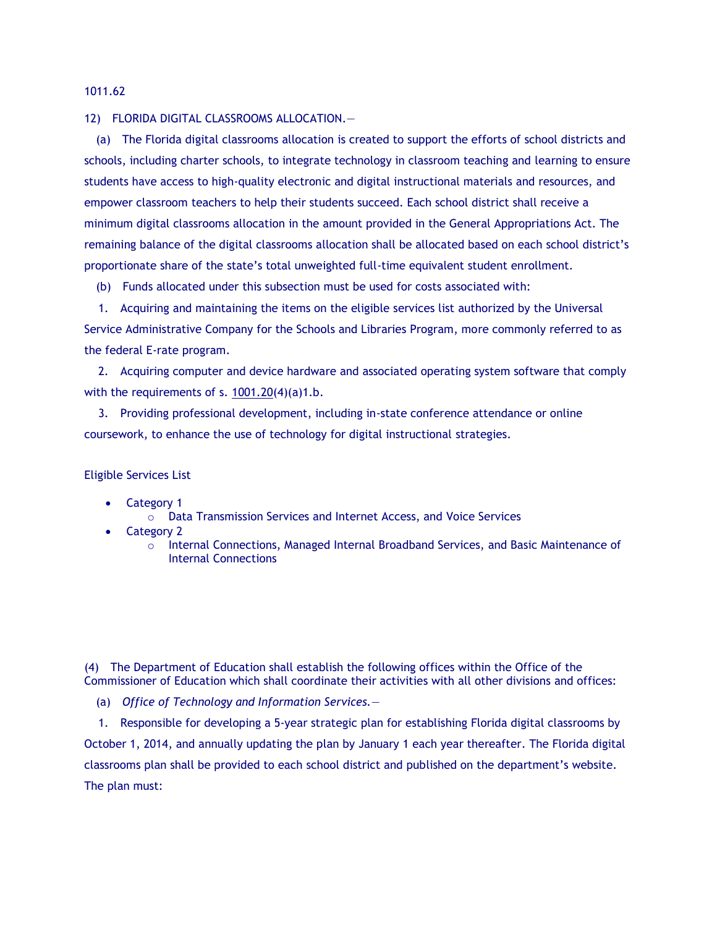1011.62

## 12) FLORIDA DIGITAL CLASSROOMS ALLOCATION.—

(a) The Florida digital classrooms allocation is created to support the efforts of school districts and schools, including charter schools, to integrate technology in classroom teaching and learning to ensure students have access to high-quality electronic and digital instructional materials and resources, and empower classroom teachers to help their students succeed. Each school district shall receive a minimum digital classrooms allocation in the amount provided in the General Appropriations Act. The remaining balance of the digital classrooms allocation shall be allocated based on each school district's proportionate share of the state's total unweighted full-time equivalent student enrollment.

(b) Funds allocated under this subsection must be used for costs associated with:

1. Acquiring and maintaining the items on the eligible services list authorized by the Universal Service Administrative Company for the Schools and Libraries Program, more commonly referred to as the federal E-rate program.

2. Acquiring computer and device hardware and associated operating system software that comply with the requirements of s.  $1001.20(4)(a)1.b.$  $1001.20(4)(a)1.b.$ 

3. Providing professional development, including in-state conference attendance or online coursework, to enhance the use of technology for digital instructional strategies.

## Eligible Services List

- Category 1
	- o Data Transmission Services and Internet Access, and Voice Services
- Category 2
	- o Internal Connections, Managed Internal Broadband Services, and Basic Maintenance of Internal Connections

(4) The Department of Education shall establish the following offices within the Office of the Commissioner of Education which shall coordinate their activities with all other divisions and offices:

(a) *Office of Technology and Information Services.*—

1. Responsible for developing a 5-year strategic plan for establishing Florida digital classrooms by October 1, 2014, and annually updating the plan by January 1 each year thereafter. The Florida digital classrooms plan shall be provided to each school district and published on the department's website. The plan must: